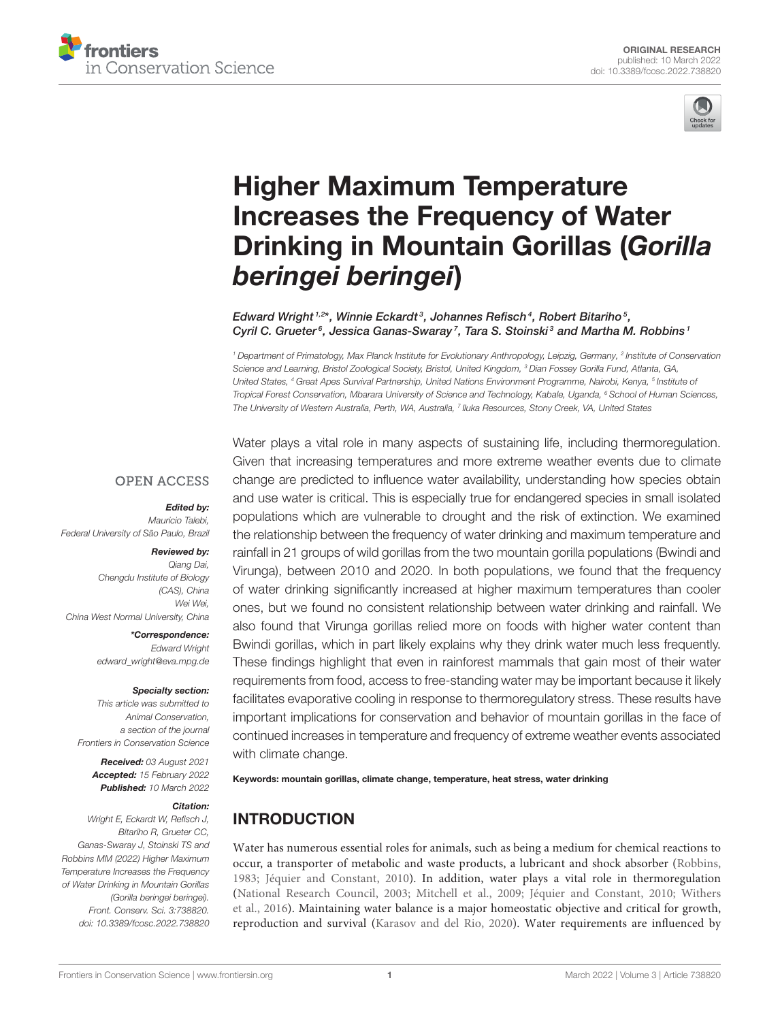



# Higher Maximum Temperature [Increases the Frequency of Water](https://www.frontiersin.org/articles/10.3389/fcosc.2022.738820/full) Drinking in Mountain Gorillas (Gorilla beringei beringei)

#### Edward Wright  $1.2*$ , Winnie Eckardt  $^3$ , Johannes Refisch  $^4$ , Robert Bitariho  $^5$ , Cyril C. Grueter<sup>6</sup>, Jessica Ganas-Swaray<sup>7</sup>, Tara S. Stoinski<sup>3</sup> and Martha M. Robbins<sup>1</sup>

<sup>1</sup> Department of Primatology, Max Planck Institute for Evolutionary Anthropology, Leipzig, Germany, <sup>2</sup> Institute of Conservation Science and Learning, Bristol Zoological Society, Bristol, United Kingdom, <sup>3</sup> Dian Fossey Gorilla Fund, Atlanta, GA, United States, <sup>4</sup> Great Apes Survival Partnership, United Nations Environment Programme, Nairobi, Kenya, <sup>5</sup> Institute oi Tropical Forest Conservation, Mbarara University of Science and Technology, Kabale, Uganda, <sup>6</sup> School of Human Sciences, The University of Western Australia, Perth, WA, Australia, <sup>7</sup> Iluka Resources, Stony Creek, VA, United States

#### **OPEN ACCESS**

#### Edited by:

Mauricio Talebi, Federal University of São Paulo, Brazil

#### Reviewed by:

Qiang Dai, Chengdu Institute of Biology (CAS), China Wei Wei, China West Normal University, China

> \*Correspondence: Edward Wright [edward\\_wright@eva.mpg.de](mailto:edward_wright@eva.mpg.de)

#### Specialty section:

This article was submitted to Animal Conservation, a section of the journal Frontiers in Conservation Science

Received: 03 August 2021 Accepted: 15 February 2022 Published: 10 March 2022

#### Citation:

Wright E, Eckardt W, Refisch J, Bitariho R, Grueter CC, Ganas-Swaray J, Stoinski TS and Robbins MM (2022) Higher Maximum Temperature Increases the Frequency of Water Drinking in Mountain Gorillas (Gorilla beringei beringei). Front. Conserv. Sci. 3:738820. doi: [10.3389/fcosc.2022.738820](https://doi.org/10.3389/fcosc.2022.738820) Water plays a vital role in many aspects of sustaining life, including thermoregulation. Given that increasing temperatures and more extreme weather events due to climate change are predicted to influence water availability, understanding how species obtain and use water is critical. This is especially true for endangered species in small isolated populations which are vulnerable to drought and the risk of extinction. We examined the relationship between the frequency of water drinking and maximum temperature and rainfall in 21 groups of wild gorillas from the two mountain gorilla populations (Bwindi and Virunga), between 2010 and 2020. In both populations, we found that the frequency of water drinking significantly increased at higher maximum temperatures than cooler ones, but we found no consistent relationship between water drinking and rainfall. We also found that Virunga gorillas relied more on foods with higher water content than Bwindi gorillas, which in part likely explains why they drink water much less frequently. These findings highlight that even in rainforest mammals that gain most of their water requirements from food, access to free-standing water may be important because it likely facilitates evaporative cooling in response to thermoregulatory stress. These results have important implications for conservation and behavior of mountain gorillas in the face of continued increases in temperature and frequency of extreme weather events associated with climate change.

Keywords: mountain gorillas, climate change, temperature, heat stress, water drinking

# INTRODUCTION

Water has numerous essential roles for animals, such as being a medium for chemical reactions to occur, a transporter of metabolic and waste products, a lubricant and shock absorber [\(Robbins,](#page-7-0) [1983;](#page-7-0) [Jéquier and Constant, 2010\)](#page-6-0). In addition, water plays a vital role in thermoregulation [\(National Research Council, 2003;](#page-6-1) [Mitchell et al., 2009;](#page-6-2) [Jéquier and Constant, 2010;](#page-6-0) Withers et al., [2016\)](#page-7-1). Maintaining water balance is a major homeostatic objective and critical for growth, reproduction and survival [\(Karasov and del Rio, 2020\)](#page-6-3). Water requirements are influenced by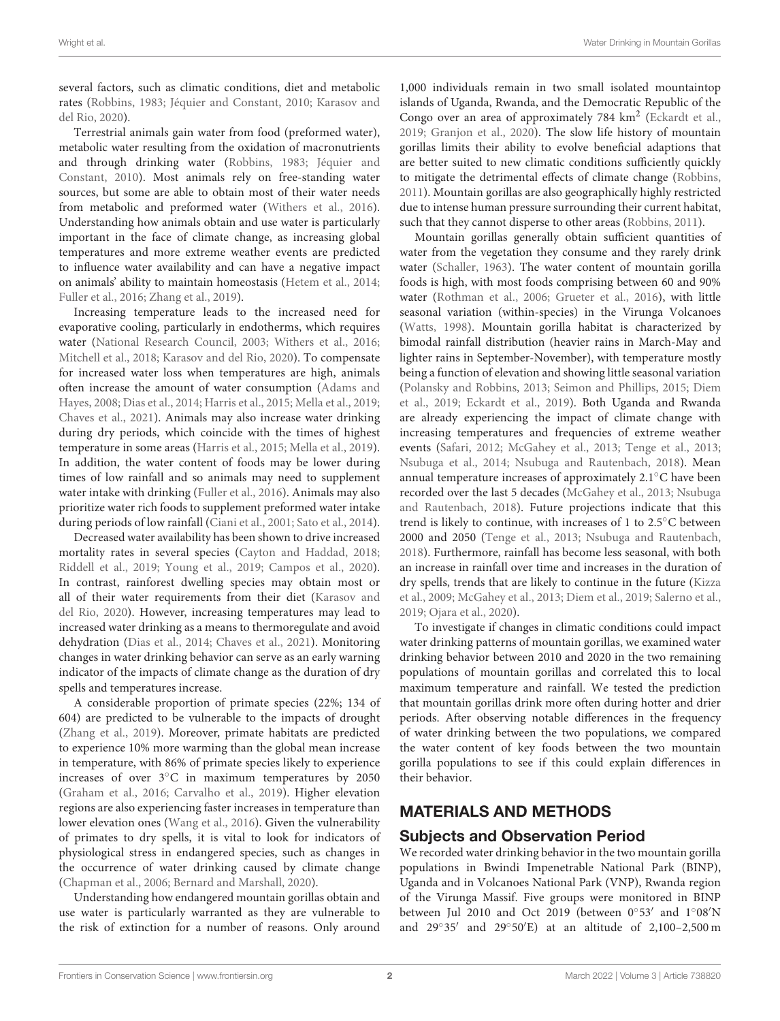several factors, such as climatic conditions, diet and metabolic rates [\(Robbins, 1983;](#page-7-0) [Jéquier and Constant, 2010;](#page-6-0) Karasov and del Rio, [2020\)](#page-6-3).

Terrestrial animals gain water from food (preformed water), metabolic water resulting from the oxidation of macronutrients and through drinking water [\(Robbins, 1983;](#page-7-0) Jéquier and Constant, [2010\)](#page-6-0). Most animals rely on free-standing water sources, but some are able to obtain most of their water needs from metabolic and preformed water [\(Withers et al., 2016\)](#page-7-1). Understanding how animals obtain and use water is particularly important in the face of climate change, as increasing global temperatures and more extreme weather events are predicted to influence water availability and can have a negative impact on animals' ability to maintain homeostasis [\(Hetem et al., 2014;](#page-6-4) [Fuller et al., 2016;](#page-6-5) [Zhang et al., 2019\)](#page-7-2).

Increasing temperature leads to the increased need for evaporative cooling, particularly in endotherms, which requires water [\(National Research Council, 2003;](#page-6-1) [Withers et al., 2016;](#page-7-1) [Mitchell et al., 2018;](#page-6-6) [Karasov and del Rio, 2020\)](#page-6-3). To compensate for increased water loss when temperatures are high, animals often increase the amount of water consumption (Adams and Hayes, [2008;](#page-5-0) [Dias et al., 2014;](#page-6-7) [Harris et al., 2015;](#page-6-8) [Mella et al., 2019;](#page-6-9) [Chaves et al., 2021\)](#page-6-10). Animals may also increase water drinking during dry periods, which coincide with the times of highest temperature in some areas [\(Harris et al., 2015;](#page-6-8) [Mella et al., 2019\)](#page-6-9). In addition, the water content of foods may be lower during times of low rainfall and so animals may need to supplement water intake with drinking [\(Fuller et al., 2016\)](#page-6-5). Animals may also prioritize water rich foods to supplement preformed water intake during periods of low rainfall [\(Ciani et al., 2001;](#page-6-11) [Sato et al., 2014\)](#page-7-3).

Decreased water availability has been shown to drive increased mortality rates in several species [\(Cayton and Haddad, 2018;](#page-6-12) [Riddell et al., 2019;](#page-7-4) [Young et al., 2019;](#page-7-5) [Campos et al., 2020\)](#page-6-13). In contrast, rainforest dwelling species may obtain most or all of their water requirements from their diet (Karasov and del Rio, [2020\)](#page-6-3). However, increasing temperatures may lead to increased water drinking as a means to thermoregulate and avoid dehydration [\(Dias et al., 2014;](#page-6-7) [Chaves et al., 2021\)](#page-6-10). Monitoring changes in water drinking behavior can serve as an early warning indicator of the impacts of climate change as the duration of dry spells and temperatures increase.

A considerable proportion of primate species (22%; 134 of 604) are predicted to be vulnerable to the impacts of drought [\(Zhang et al., 2019\)](#page-7-2). Moreover, primate habitats are predicted to experience 10% more warming than the global mean increase in temperature, with 86% of primate species likely to experience increases of over 3◦C in maximum temperatures by 2050 [\(Graham et al., 2016;](#page-6-14) [Carvalho et al., 2019\)](#page-6-15). Higher elevation regions are also experiencing faster increases in temperature than lower elevation ones [\(Wang et al., 2016\)](#page-7-6). Given the vulnerability of primates to dry spells, it is vital to look for indicators of physiological stress in endangered species, such as changes in the occurrence of water drinking caused by climate change [\(Chapman et al., 2006;](#page-6-16) [Bernard and Marshall, 2020\)](#page-6-17).

Understanding how endangered mountain gorillas obtain and use water is particularly warranted as they are vulnerable to the risk of extinction for a number of reasons. Only around

1,000 individuals remain in two small isolated mountaintop islands of Uganda, Rwanda, and the Democratic Republic of the Congo over an area of approximately 784 km<sup>2</sup> [\(Eckardt et al.,](#page-6-18) [2019;](#page-6-18) [Granjon et al., 2020\)](#page-6-19). The slow life history of mountain gorillas limits their ability to evolve beneficial adaptions that are better suited to new climatic conditions sufficiently quickly to mitigate the detrimental effects of climate change [\(Robbins,](#page-7-7) [2011\)](#page-7-7). Mountain gorillas are also geographically highly restricted due to intense human pressure surrounding their current habitat, such that they cannot disperse to other areas [\(Robbins, 2011\)](#page-7-7).

Mountain gorillas generally obtain sufficient quantities of water from the vegetation they consume and they rarely drink water [\(Schaller, 1963\)](#page-7-8). The water content of mountain gorilla foods is high, with most foods comprising between 60 and 90% water [\(Rothman et al., 2006;](#page-7-9) [Grueter et al., 2016\)](#page-6-20), with little seasonal variation (within-species) in the Virunga Volcanoes [\(Watts, 1998\)](#page-7-10). Mountain gorilla habitat is characterized by bimodal rainfall distribution (heavier rains in March-May and lighter rains in September-November), with temperature mostly being a function of elevation and showing little seasonal variation [\(Polansky and Robbins, 2013;](#page-7-11) [Seimon and Phillips, 2015;](#page-7-12) Diem et al., [2019;](#page-6-21) [Eckardt et al., 2019\)](#page-6-18). Both Uganda and Rwanda are already experiencing the impact of climate change with increasing temperatures and frequencies of extreme weather events [\(Safari, 2012;](#page-7-13) [McGahey et al., 2013;](#page-6-22) [Tenge et al., 2013;](#page-7-14) [Nsubuga et al., 2014;](#page-6-23) [Nsubuga and Rautenbach, 2018\)](#page-6-24). Mean annual temperature increases of approximately 2.1◦C have been recorded over the last 5 decades [\(McGahey et al., 2013;](#page-6-22) Nsubuga and Rautenbach, [2018\)](#page-6-24). Future projections indicate that this trend is likely to continue, with increases of 1 to 2.5◦C between 2000 and 2050 [\(Tenge et al., 2013;](#page-7-14) [Nsubuga and Rautenbach,](#page-6-24) [2018\)](#page-6-24). Furthermore, rainfall has become less seasonal, with both an increase in rainfall over time and increases in the duration of dry spells, trends that are likely to continue in the future (Kizza et al., [2009;](#page-6-25) [McGahey et al., 2013;](#page-6-22) [Diem et al., 2019;](#page-6-21) [Salerno](#page-7-15) et al., [2019;](#page-7-15) [Ojara et al., 2020\)](#page-6-26).

To investigate if changes in climatic conditions could impact water drinking patterns of mountain gorillas, we examined water drinking behavior between 2010 and 2020 in the two remaining populations of mountain gorillas and correlated this to local maximum temperature and rainfall. We tested the prediction that mountain gorillas drink more often during hotter and drier periods. After observing notable differences in the frequency of water drinking between the two populations, we compared the water content of key foods between the two mountain gorilla populations to see if this could explain differences in their behavior.

# MATERIALS AND METHODS

# Subjects and Observation Period

We recorded water drinking behavior in the two mountain gorilla populations in Bwindi Impenetrable National Park (BINP), Uganda and in Volcanoes National Park (VNP), Rwanda region of the Virunga Massif. Five groups were monitored in BINP between Jul 2010 and Oct 2019 (between 0°53' and 1°08'N and 29◦ 35′ and 29◦ 50′E) at an altitude of 2,100–2,500 m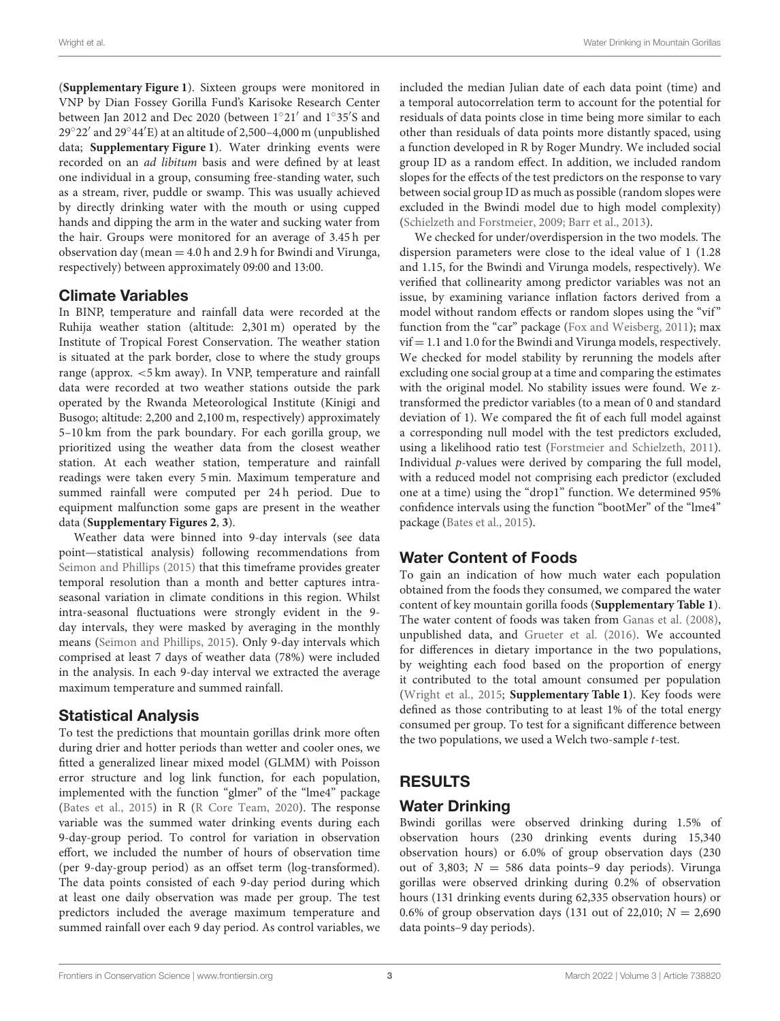(**[Supplementary Figure 1](#page-5-1)**). Sixteen groups were monitored in VNP by Dian Fossey Gorilla Fund's Karisoke Research Center between Jan 2012 and Dec 2020 (between 1°21' and 1°35'S and 29◦ 22′ and 29◦ 44′E) at an altitude of 2,500–4,000 m (unpublished data; **[Supplementary Figure 1](#page-5-1)**). Water drinking events were recorded on an ad libitum basis and were defined by at least one individual in a group, consuming free-standing water, such as a stream, river, puddle or swamp. This was usually achieved by directly drinking water with the mouth or using cupped hands and dipping the arm in the water and sucking water from the hair. Groups were monitored for an average of 3.45 h per observation day (mean  $=$  4.0 h and 2.9 h for Bwindi and Virunga, respectively) between approximately 09:00 and 13:00.

# Climate Variables

In BINP, temperature and rainfall data were recorded at the Ruhija weather station (altitude: 2,301 m) operated by the Institute of Tropical Forest Conservation. The weather station is situated at the park border, close to where the study groups range (approx. <5 km away). In VNP, temperature and rainfall data were recorded at two weather stations outside the park operated by the Rwanda Meteorological Institute (Kinigi and Busogo; altitude: 2,200 and 2,100 m, respectively) approximately 5–10 km from the park boundary. For each gorilla group, we prioritized using the weather data from the closest weather station. At each weather station, temperature and rainfall readings were taken every 5 min. Maximum temperature and summed rainfall were computed per 24h period. Due to equipment malfunction some gaps are present in the weather data (**[Supplementary Figures 2](#page-5-1)**, **[3](#page-5-1)**).

Weather data were binned into 9-day intervals (see data point—statistical analysis) following recommendations from [Seimon and Phillips \(2015\)](#page-7-12) that this timeframe provides greater temporal resolution than a month and better captures intraseasonal variation in climate conditions in this region. Whilst intra-seasonal fluctuations were strongly evident in the 9 day intervals, they were masked by averaging in the monthly means [\(Seimon and Phillips, 2015\)](#page-7-12). Only 9-day intervals which comprised at least 7 days of weather data (78%) were included in the analysis. In each 9-day interval we extracted the average maximum temperature and summed rainfall.

# Statistical Analysis

To test the predictions that mountain gorillas drink more often during drier and hotter periods than wetter and cooler ones, we fitted a generalized linear mixed model (GLMM) with Poisson error structure and log link function, for each population, implemented with the function "glmer" of the "lme4" package [\(Bates et al., 2015\)](#page-5-2) in R [\(R Core Team, 2020\)](#page-7-16). The response variable was the summed water drinking events during each 9-day-group period. To control for variation in observation effort, we included the number of hours of observation time (per 9-day-group period) as an offset term (log-transformed). The data points consisted of each 9-day period during which at least one daily observation was made per group. The test predictors included the average maximum temperature and summed rainfall over each 9 day period. As control variables, we included the median Julian date of each data point (time) and a temporal autocorrelation term to account for the potential for residuals of data points close in time being more similar to each other than residuals of data points more distantly spaced, using a function developed in R by Roger Mundry. We included social group ID as a random effect. In addition, we included random slopes for the effects of the test predictors on the response to vary between social group ID as much as possible (random slopes were excluded in the Bwindi model due to high model complexity) [\(Schielzeth and Forstmeier, 2009;](#page-7-17) [Barr et al., 2013\)](#page-5-3).

We checked for under/overdispersion in the two models. The dispersion parameters were close to the ideal value of 1 (1.28 and 1.15, for the Bwindi and Virunga models, respectively). We verified that collinearity among predictor variables was not an issue, by examining variance inflation factors derived from a model without random effects or random slopes using the "vif" function from the "car" package [\(Fox and Weisberg, 2011\)](#page-6-27); max  $v$ if  $= 1.1$  and 1.0 for the Bwindi and Virunga models, respectively. We checked for model stability by rerunning the models after excluding one social group at a time and comparing the estimates with the original model. No stability issues were found. We ztransformed the predictor variables (to a mean of 0 and standard deviation of 1). We compared the fit of each full model against a corresponding null model with the test predictors excluded, using a likelihood ratio test [\(Forstmeier and Schielzeth, 2011\)](#page-6-28). Individual p-values were derived by comparing the full model, with a reduced model not comprising each predictor (excluded one at a time) using the "drop1" function. We determined 95% confidence intervals using the function "bootMer" of the "lme4" package [\(Bates et al., 2015\)](#page-5-2).

# Water Content of Foods

To gain an indication of how much water each population obtained from the foods they consumed, we compared the water content of key mountain gorilla foods (**[Supplementary Table 1](#page-5-1)**). The water content of foods was taken from [Ganas et al. \(2008\)](#page-6-29), unpublished data, and [Grueter et al. \(2016\)](#page-6-20). We accounted for differences in dietary importance in the two populations, by weighting each food based on the proportion of energy it contributed to the total amount consumed per population [\(Wright et al., 2015;](#page-7-18) **[Supplementary Table 1](#page-5-1)**). Key foods were defined as those contributing to at least 1% of the total energy consumed per group. To test for a significant difference between the two populations, we used a Welch two-sample  $t$ -test.

# RESULTS

# Water Drinking

Bwindi gorillas were observed drinking during 1.5% of observation hours (230 drinking events during 15,340 observation hours) or 6.0% of group observation days (230 out of 3,803;  $N = 586$  data points-9 day periods). Virunga gorillas were observed drinking during 0.2% of observation hours (131 drinking events during 62,335 observation hours) or 0.6% of group observation days (131 out of 22,010;  $N = 2,690$ ) data points–9 day periods).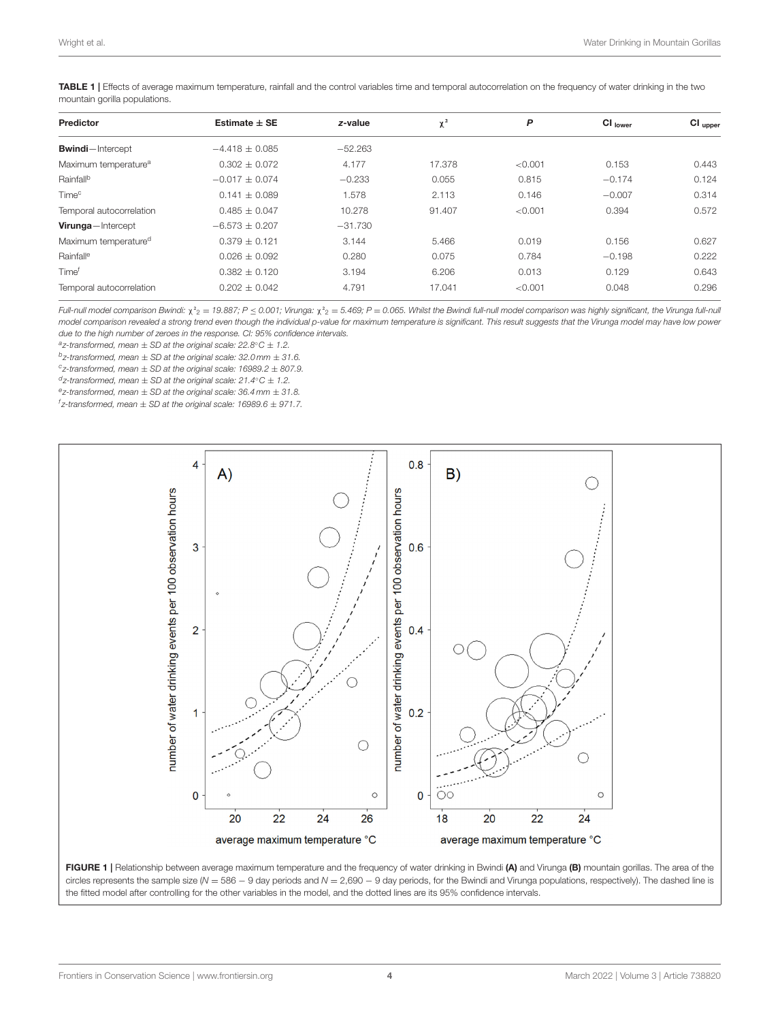<span id="page-3-0"></span>TABLE 1 | Effects of average maximum temperature, rainfall and the control variables time and temporal autocorrelation on the frequency of water drinking in the two mountain gorilla populations.

| <b>Predictor</b>                 | Estimate $\pm$ SE  | z-value   | $\chi^2$ | P       | Cl <sub>lower</sub> | $Cl_{\text{ upper}}$ |
|----------------------------------|--------------------|-----------|----------|---------|---------------------|----------------------|
| <b>Bwindi</b> -Intercept         | $-4.418 \pm 0.085$ | $-52.263$ |          |         |                     |                      |
| Maximum temperature <sup>a</sup> | $0.302 + 0.072$    | 4.177     | 17.378   | < 0.001 | 0.153               | 0.443                |
| Rainfall <sup>b</sup>            | $-0.017 + 0.074$   | $-0.233$  | 0.055    | 0.815   | $-0.174$            | 0.124                |
| Time <sup>c</sup>                | $0.141 \pm 0.089$  | 1.578     | 2.113    | 0.146   | $-0.007$            | 0.314                |
| Temporal autocorrelation         | $0.485 + 0.047$    | 10.278    | 91.407   | < 0.001 | 0.394               | 0.572                |
| Virunga-Intercept                | $-6.573 \pm 0.207$ | $-31.730$ |          |         |                     |                      |
| Maximum temperature <sup>d</sup> | $0.379 + 0.121$    | 3.144     | 5.466    | 0.019   | 0.156               | 0.627                |
| Rainfall <sup>e</sup>            | $0.026 \pm 0.092$  | 0.280     | 0.075    | 0.784   | $-0.198$            | 0.222                |
| Time <sup>f</sup>                | $0.382 \pm 0.120$  | 3.194     | 6.206    | 0.013   | 0.129               | 0.643                |
| Temporal autocorrelation         | $0.202 \pm 0.042$  | 4.791     | 17.041   | < 0.001 | 0.048               | 0.296                |
|                                  |                    |           |          |         |                     |                      |

Full-null model comparison Bwindi:  $\chi^2$ <sub>2</sub> = 19.887; P < 0.001; Virunga:  $\chi^2$ <sub>2</sub> = 5.469; P = 0.065. Whilst the Bwindi full-null model comparison was highly significant, the Virunga full-null model comparison revealed a strong trend even though the individual p-value for maximum temperature is significant. This result suggests that the Virunga model may have low power due to the high number of zeroes in the response. CI: 95% confidence intervals.

 $a$ <sub>z-transformed, mean  $\pm$  SD at the original scale: 22.8 $\degree$ C  $\pm$  1.2.</sub>

 $b$ z-transformed, mean  $\pm$  SD at the original scale: 32.0 mm  $\pm$  31.6.

 $c$ <sub>z</sub>-transformed, mean  $\pm$  SD at the original scale: 16989.2  $\pm$  807.9.

 $d$ z-transformed, mean  $\pm$  SD at the original scale: 21.4°C  $\pm$  1.2.

 $e$ <sub>z</sub>-transformed, mean  $\pm$  SD at the original scale: 36.4 mm  $\pm$  31.8.

 $f$ z-transformed, mean  $\pm$  SD at the original scale: 16989.6  $\pm$  971.7.



<span id="page-3-1"></span>FIGURE 1 | Relationship between average maximum temperature and the frequency of water drinking in Bwindi (A) and Virunga (B) mountain gorillas. The area of the circles represents the sample size (N = 586 - 9 day periods and  $N = 2,690 - 9$  day periods, for the Bwindi and Virunga populations, respectively). The dashed line is the fitted model after controlling for the other variables in the model, and the dotted lines are its 95% confidence intervals.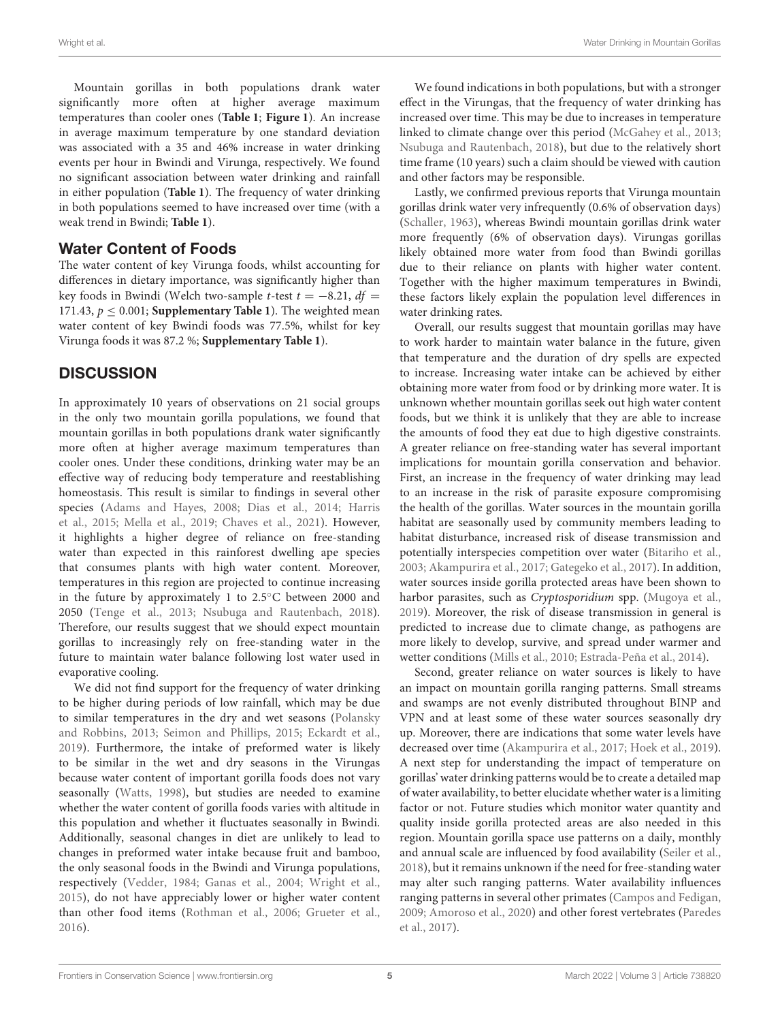Mountain gorillas in both populations drank water significantly more often at higher average maximum temperatures than cooler ones (**[Table 1](#page-3-0)**; **[Figure 1](#page-3-1)**). An increase in average maximum temperature by one standard deviation was associated with a 35 and 46% increase in water drinking events per hour in Bwindi and Virunga, respectively. We found no significant association between water drinking and rainfall in either population (**[Table 1](#page-3-0)**). The frequency of water drinking in both populations seemed to have increased over time (with a weak trend in Bwindi; **[Table 1](#page-3-0)**).

# Water Content of Foods

The water content of key Virunga foods, whilst accounting for differences in dietary importance, was significantly higher than key foods in Bwindi (Welch two-sample t-test  $t = -8.21$ ,  $df =$ 171.43,  $p \le 0.001$ ; **[Supplementary Table 1](#page-5-1)**). The weighted mean water content of key Bwindi foods was 77.5%, whilst for key Virunga foods it was 87.2 %; **[Supplementary Table 1](#page-5-1)**).

# **DISCUSSION**

In approximately 10 years of observations on 21 social groups in the only two mountain gorilla populations, we found that mountain gorillas in both populations drank water significantly more often at higher average maximum temperatures than cooler ones. Under these conditions, drinking water may be an effective way of reducing body temperature and reestablishing homeostasis. This result is similar to findings in several other species [\(Adams and Hayes, 2008;](#page-5-0) [Dias et al., 2014;](#page-6-7) Harris et al., [2015;](#page-6-8) [Mella et al., 2019;](#page-6-9) [Chaves et al., 2021\)](#page-6-10). However, it highlights a higher degree of reliance on free-standing water than expected in this rainforest dwelling ape species that consumes plants with high water content. Moreover, temperatures in this region are projected to continue increasing in the future by approximately 1 to 2.5◦C between 2000 and 2050 [\(Tenge et al., 2013;](#page-7-14) [Nsubuga and Rautenbach, 2018\)](#page-6-24). Therefore, our results suggest that we should expect mountain gorillas to increasingly rely on free-standing water in the future to maintain water balance following lost water used in evaporative cooling.

We did not find support for the frequency of water drinking to be higher during periods of low rainfall, which may be due to similar temperatures in the dry and wet seasons (Polansky and Robbins, [2013;](#page-7-11) [Seimon and Phillips, 2015;](#page-7-12) [Eckardt et al.,](#page-6-18) [2019\)](#page-6-18). Furthermore, the intake of preformed water is likely to be similar in the wet and dry seasons in the Virungas because water content of important gorilla foods does not vary seasonally [\(Watts, 1998\)](#page-7-10), but studies are needed to examine whether the water content of gorilla foods varies with altitude in this population and whether it fluctuates seasonally in Bwindi. Additionally, seasonal changes in diet are unlikely to lead to changes in preformed water intake because fruit and bamboo, the only seasonal foods in the Bwindi and Virunga populations, respectively [\(Vedder, 1984;](#page-7-19) [Ganas et al., 2004;](#page-6-30) [Wright et al.,](#page-7-18) [2015\)](#page-7-18), do not have appreciably lower or higher water content than other food items [\(Rothman et al., 2006;](#page-7-9) [Grueter et al.,](#page-6-20) [2016\)](#page-6-20).

We found indications in both populations, but with a stronger effect in the Virungas, that the frequency of water drinking has increased over time. This may be due to increases in temperature linked to climate change over this period [\(McGahey et al., 2013;](#page-6-22) [Nsubuga and Rautenbach, 2018\)](#page-6-24), but due to the relatively short time frame (10 years) such a claim should be viewed with caution and other factors may be responsible.

Lastly, we confirmed previous reports that Virunga mountain gorillas drink water very infrequently (0.6% of observation days) [\(Schaller, 1963\)](#page-7-8), whereas Bwindi mountain gorillas drink water more frequently (6% of observation days). Virungas gorillas likely obtained more water from food than Bwindi gorillas due to their reliance on plants with higher water content. Together with the higher maximum temperatures in Bwindi, these factors likely explain the population level differences in water drinking rates.

Overall, our results suggest that mountain gorillas may have to work harder to maintain water balance in the future, given that temperature and the duration of dry spells are expected to increase. Increasing water intake can be achieved by either obtaining more water from food or by drinking more water. It is unknown whether mountain gorillas seek out high water content foods, but we think it is unlikely that they are able to increase the amounts of food they eat due to high digestive constraints. A greater reliance on free-standing water has several important implications for mountain gorilla conservation and behavior. First, an increase in the frequency of water drinking may lead to an increase in the risk of parasite exposure compromising the health of the gorillas. Water sources in the mountain gorilla habitat are seasonally used by community members leading to habitat disturbance, increased risk of disease transmission and potentially interspecies competition over water [\(Bitariho et al.,](#page-6-31) [2003;](#page-6-31) [Akampurira et al., 2017;](#page-5-4) [Gategeko et al., 2017\)](#page-6-32). In addition, water sources inside gorilla protected areas have been shown to harbor parasites, such as Cryptosporidium spp. [\(Mugoya et al.,](#page-6-33) [2019\)](#page-6-33). Moreover, the risk of disease transmission in general is predicted to increase due to climate change, as pathogens are more likely to develop, survive, and spread under warmer and wetter conditions [\(Mills et al., 2010;](#page-6-34) [Estrada-Peña et al., 2014\)](#page-6-35).

Second, greater reliance on water sources is likely to have an impact on mountain gorilla ranging patterns. Small streams and swamps are not evenly distributed throughout BINP and VPN and at least some of these water sources seasonally dry up. Moreover, there are indications that some water levels have decreased over time [\(Akampurira et al., 2017;](#page-5-4) [Hoek et al., 2019\)](#page-6-36). A next step for understanding the impact of temperature on gorillas' water drinking patterns would be to create a detailed map of water availability, to better elucidate whether water is a limiting factor or not. Future studies which monitor water quantity and quality inside gorilla protected areas are also needed in this region. Mountain gorilla space use patterns on a daily, monthly and annual scale are influenced by food availability [\(Seiler et al.,](#page-7-20) [2018\)](#page-7-20), but it remains unknown if the need for free-standing water may alter such ranging patterns. Water availability influences ranging patterns in several other primates [\(Campos and Fedigan,](#page-6-37) [2009;](#page-6-37) [Amoroso et al., 2020\)](#page-5-5) and other forest vertebrates (Paredes et al., [2017\)](#page-7-21).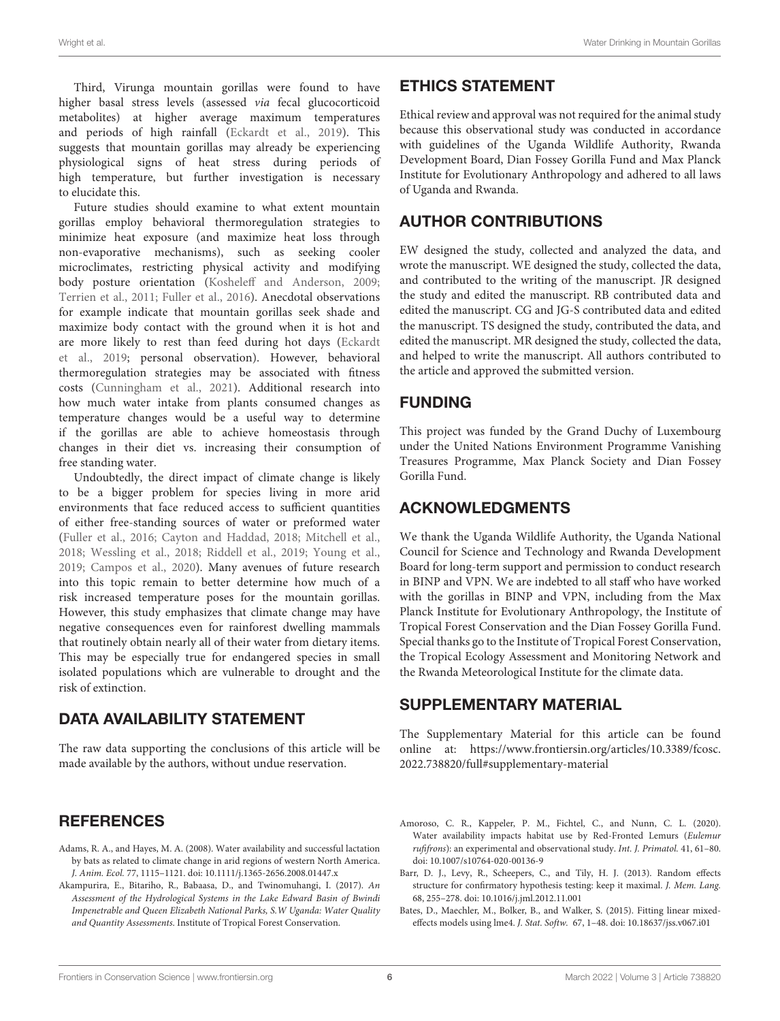Third, Virunga mountain gorillas were found to have higher basal stress levels (assessed via fecal glucocorticoid metabolites) at higher average maximum temperatures and periods of high rainfall [\(Eckardt et al., 2019\)](#page-6-18). This suggests that mountain gorillas may already be experiencing physiological signs of heat stress during periods of high temperature, but further investigation is necessary to elucidate this.

Future studies should examine to what extent mountain gorillas employ behavioral thermoregulation strategies to minimize heat exposure (and maximize heat loss through non-evaporative mechanisms), such as seeking cooler microclimates, restricting physical activity and modifying body posture orientation [\(Kosheleff and Anderson, 2009;](#page-6-38) [Terrien et al., 2011;](#page-7-22) [Fuller et al., 2016\)](#page-6-5). Anecdotal observations for example indicate that mountain gorillas seek shade and maximize body contact with the ground when it is hot and are more likely to rest than feed during hot days (Eckardt et al., [2019;](#page-6-18) personal observation). However, behavioral thermoregulation strategies may be associated with fitness costs [\(Cunningham et al., 2021\)](#page-6-39). Additional research into how much water intake from plants consumed changes as temperature changes would be a useful way to determine if the gorillas are able to achieve homeostasis through changes in their diet vs. increasing their consumption of free standing water.

Undoubtedly, the direct impact of climate change is likely to be a bigger problem for species living in more arid environments that face reduced access to sufficient quantities of either free-standing sources of water or preformed water [\(Fuller et al., 2016;](#page-6-5) [Cayton and Haddad, 2018;](#page-6-12) [Mitchell et al.,](#page-6-6) [2018;](#page-6-6) [Wessling et al., 2018;](#page-7-23) [Riddell et al., 2019;](#page-7-4) [Young et al.,](#page-7-5) [2019;](#page-7-5) [Campos et al., 2020\)](#page-6-13). Many avenues of future research into this topic remain to better determine how much of a risk increased temperature poses for the mountain gorillas. However, this study emphasizes that climate change may have negative consequences even for rainforest dwelling mammals that routinely obtain nearly all of their water from dietary items. This may be especially true for endangered species in small isolated populations which are vulnerable to drought and the risk of extinction.

# DATA AVAILABILITY STATEMENT

The raw data supporting the conclusions of this article will be made available by the authors, without undue reservation.

# **REFERENCES**

- <span id="page-5-0"></span>Adams, R. A., and Hayes, M. A. (2008). Water availability and successful lactation by bats as related to climate change in arid regions of western North America. J. Anim. Ecol. 77, 1115–1121. doi: [10.1111/j.1365-2656.2008.01447.x](https://doi.org/10.1111/j.1365-2656.2008.01447.x)
- <span id="page-5-4"></span>Akampurira, E., Bitariho, R., Babaasa, D., and Twinomuhangi, I. (2017). An Assessment of the Hydrological Systems in the Lake Edward Basin of Bwindi Impenetrable and Queen Elizabeth National Parks, S.W Uganda: Water Quality and Quantity Assessments. Institute of Tropical Forest Conservation.

# ETHICS STATEMENT

Ethical review and approval was not required for the animal study because this observational study was conducted in accordance with guidelines of the Uganda Wildlife Authority, Rwanda Development Board, Dian Fossey Gorilla Fund and Max Planck Institute for Evolutionary Anthropology and adhered to all laws of Uganda and Rwanda.

# AUTHOR CONTRIBUTIONS

EW designed the study, collected and analyzed the data, and wrote the manuscript. WE designed the study, collected the data, and contributed to the writing of the manuscript. JR designed the study and edited the manuscript. RB contributed data and edited the manuscript. CG and JG-S contributed data and edited the manuscript. TS designed the study, contributed the data, and edited the manuscript. MR designed the study, collected the data, and helped to write the manuscript. All authors contributed to the article and approved the submitted version.

# FUNDING

This project was funded by the Grand Duchy of Luxembourg under the United Nations Environment Programme Vanishing Treasures Programme, Max Planck Society and Dian Fossey Gorilla Fund.

#### ACKNOWLEDGMENTS

We thank the Uganda Wildlife Authority, the Uganda National Council for Science and Technology and Rwanda Development Board for long-term support and permission to conduct research in BINP and VPN. We are indebted to all staff who have worked with the gorillas in BINP and VPN, including from the Max Planck Institute for Evolutionary Anthropology, the Institute of Tropical Forest Conservation and the Dian Fossey Gorilla Fund. Special thanks go to the Institute of Tropical Forest Conservation, the Tropical Ecology Assessment and Monitoring Network and the Rwanda Meteorological Institute for the climate data.

# SUPPLEMENTARY MATERIAL

<span id="page-5-1"></span>The Supplementary Material for this article can be found [online at: https://www.frontiersin.org/articles/10.3389/fcosc.](https://www.frontiersin.org/articles/10.3389/fcosc.2022.738820/full#supplementary-material) 2022.738820/full#supplementary-material

- <span id="page-5-5"></span>Amoroso, C. R., Kappeler, P. M., Fichtel, C., and Nunn, C. L. (2020). Water availability impacts habitat use by Red-Fronted Lemurs (Eulemur rufifrons): an experimental and observational study. Int. J. Primatol. 41, 61–80. doi: [10.1007/s10764-020-00136-9](https://doi.org/10.1007/s10764-020-00136-9)
- <span id="page-5-3"></span>Barr, D. J., Levy, R., Scheepers, C., and Tily, H. J. (2013). Random effects structure for confirmatory hypothesis testing: keep it maximal. J. Mem. Lang. 68, 255–278. doi: [10.1016/j.jml.2012.11.001](https://doi.org/10.1016/j.jml.2012.11.001)
- <span id="page-5-2"></span>Bates, D., Maechler, M., Bolker, B., and Walker, S. (2015). Fitting linear mixedeffects models using lme4. J. Stat. Softw. 67, 1–48. doi: [10.18637/jss.v067.i01](https://doi.org/10.18637/jss.v067.i01)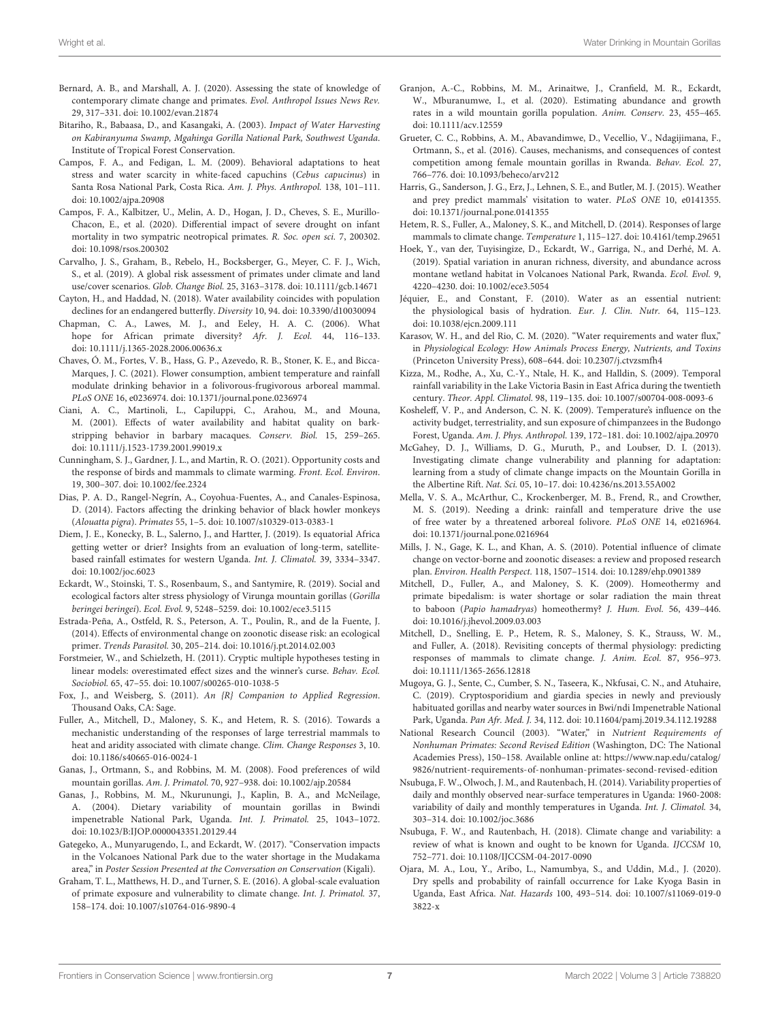- <span id="page-6-17"></span>Bernard, A. B., and Marshall, A. J. (2020). Assessing the state of knowledge of contemporary climate change and primates. Evol. Anthropol Issues News Rev. 29, 317–331. doi: [10.1002/evan.21874](https://doi.org/10.1002/evan.21874)
- <span id="page-6-31"></span>Bitariho, R., Babaasa, D., and Kasangaki, A. (2003). Impact of Water Harvesting on Kabiranyuma Swamp, Mgahinga Gorilla National Park, Southwest Uganda. Institute of Tropical Forest Conservation.
- <span id="page-6-37"></span>Campos, F. A., and Fedigan, L. M. (2009). Behavioral adaptations to heat stress and water scarcity in white-faced capuchins (Cebus capucinus) in Santa Rosa National Park, Costa Rica. Am. J. Phys. Anthropol. 138, 101–111. doi: [10.1002/ajpa.20908](https://doi.org/10.1002/ajpa.20908)
- <span id="page-6-13"></span>Campos, F. A., Kalbitzer, U., Melin, A. D., Hogan, J. D., Cheves, S. E., Murillo-Chacon, E., et al. (2020). Differential impact of severe drought on infant mortality in two sympatric neotropical primates. R. Soc. open sci. 7, 200302. doi: [10.1098/rsos.200302](https://doi.org/10.1098/rsos.200302)
- <span id="page-6-15"></span>Carvalho, J. S., Graham, B., Rebelo, H., Bocksberger, G., Meyer, C. F. J., Wich, S., et al. (2019). A global risk assessment of primates under climate and land use/cover scenarios. Glob. Change Biol. 25, 3163–3178. doi: [10.1111/gcb.14671](https://doi.org/10.1111/gcb.14671)
- <span id="page-6-12"></span>Cayton, H., and Haddad, N. (2018). Water availability coincides with population declines for an endangered butterfly. Diversity 10, 94. doi: [10.3390/d10030094](https://doi.org/10.3390/d10030094)
- <span id="page-6-16"></span>Chapman, C. A., Lawes, M. J., and Eeley, H. A. C. (2006). What hope for African primate diversity? Afr. J. Ecol. 44, 116-133. doi: [10.1111/j.1365-2028.2006.00636.x](https://doi.org/10.1111/j.1365-2028.2006.00636.x)
- <span id="page-6-10"></span>Chaves, Ó. M., Fortes, V. B., Hass, G. P., Azevedo, R. B., Stoner, K. E., and Bicca-Marques, J. C. (2021). Flower consumption, ambient temperature and rainfall modulate drinking behavior in a folivorous-frugivorous arboreal mammal. PLoS ONE 16, e0236974. doi: [10.1371/journal.pone.0236974](https://doi.org/10.1371/journal.pone.0236974)
- <span id="page-6-11"></span>Ciani, A. C., Martinoli, L., Capiluppi, C., Arahou, M., and Mouna, M. (2001). Effects of water availability and habitat quality on barkstripping behavior in barbary macaques. Conserv. Biol. 15, 259–265. doi: [10.1111/j.1523-1739.2001.99019.x](https://doi.org/10.1111/j.1523-1739.2001.99019.x)
- <span id="page-6-39"></span>Cunningham, S. J., Gardner, J. L., and Martin, R. O. (2021). Opportunity costs and the response of birds and mammals to climate warming. Front. Ecol. Environ. 19, 300–307. doi: [10.1002/fee.2324](https://doi.org/10.1002/fee.2324)
- <span id="page-6-7"></span>Dias, P. A. D., Rangel-Negrín, A., Coyohua-Fuentes, A., and Canales-Espinosa, D. (2014). Factors affecting the drinking behavior of black howler monkeys (Alouatta pigra). Primates 55, 1–5. doi: [10.1007/s10329-013-0383-1](https://doi.org/10.1007/s10329-013-0383-1)
- <span id="page-6-21"></span>Diem, J. E., Konecky, B. L., Salerno, J., and Hartter, J. (2019). Is equatorial Africa getting wetter or drier? Insights from an evaluation of long-term, satellitebased rainfall estimates for western Uganda. Int. J. Climatol. 39, 3334–3347. doi: [10.1002/joc.6023](https://doi.org/10.1002/joc.6023)
- <span id="page-6-18"></span>Eckardt, W., Stoinski, T. S., Rosenbaum, S., and Santymire, R. (2019). Social and ecological factors alter stress physiology of Virunga mountain gorillas (Gorilla beringei beringei). Ecol. Evol. 9, 5248–5259. doi: [10.1002/ece3.5115](https://doi.org/10.1002/ece3.5115)
- <span id="page-6-35"></span>Estrada-Peña, A., Ostfeld, R. S., Peterson, A. T., Poulin, R., and de la Fuente, J. (2014). Effects of environmental change on zoonotic disease risk: an ecological primer. Trends Parasitol. 30, 205–214. doi: [10.1016/j.pt.2014.02.003](https://doi.org/10.1016/j.pt.2014.02.003)
- <span id="page-6-28"></span>Forstmeier, W., and Schielzeth, H. (2011). Cryptic multiple hypotheses testing in linear models: overestimated effect sizes and the winner's curse. Behav. Ecol. Sociobiol. 65, 47–55. doi: [10.1007/s00265-010-1038-5](https://doi.org/10.1007/s00265-010-1038-5)
- <span id="page-6-27"></span>Fox, J., and Weisberg, S. (2011). An {R} Companion to Applied Regression. Thousand Oaks, CA: Sage.
- <span id="page-6-5"></span>Fuller, A., Mitchell, D., Maloney, S. K., and Hetem, R. S. (2016). Towards a mechanistic understanding of the responses of large terrestrial mammals to heat and aridity associated with climate change. Clim. Change Responses 3, 10. doi: [10.1186/s40665-016-0024-1](https://doi.org/10.1186/s40665-016-0024-1)
- <span id="page-6-29"></span>Ganas, J., Ortmann, S., and Robbins, M. M. (2008). Food preferences of wild mountain gorillas. Am. J. Primatol. 70, 927–938. doi: [10.1002/ajp.20584](https://doi.org/10.1002/ajp.20584)
- <span id="page-6-30"></span>Ganas, J., Robbins, M. M., Nkurunungi, J., Kaplin, B. A., and McNeilage, A. (2004). Dietary variability of mountain gorillas in Bwindi impenetrable National Park, Uganda. Int. J. Primatol. 25, 1043–1072. doi: [10.1023/B:IJOP.0000043351.20129.44](https://doi.org/10.1023/B:IJOP.0000043351.20129.44)
- <span id="page-6-32"></span>Gategeko, A., Munyarugendo, I., and Eckardt, W. (2017). "Conservation impacts in the Volcanoes National Park due to the water shortage in the Mudakama area," in Poster Session Presented at the Conversation on Conservation (Kigali).
- <span id="page-6-14"></span>Graham, T. L., Matthews, H. D., and Turner, S. E. (2016). A global-scale evaluation of primate exposure and vulnerability to climate change. Int. J. Primatol. 37, 158–174. doi: [10.1007/s10764-016-9890-4](https://doi.org/10.1007/s10764-016-9890-4)
- <span id="page-6-19"></span>Granjon, A.-C., Robbins, M. M., Arinaitwe, J., Cranfield, M. R., Eckardt, W., Mburanumwe, I., et al. (2020). Estimating abundance and growth rates in a wild mountain gorilla population. Anim. Conserv. 23, 455–465. doi: [10.1111/acv.12559](https://doi.org/10.1111/acv.12559)
- <span id="page-6-20"></span>Grueter, C. C., Robbins, A. M., Abavandimwe, D., Vecellio, V., Ndagijimana, F., Ortmann, S., et al. (2016). Causes, mechanisms, and consequences of contest competition among female mountain gorillas in Rwanda. Behav. Ecol. 27, 766–776. doi: [10.1093/beheco/arv212](https://doi.org/10.1093/beheco/arv212)
- <span id="page-6-8"></span>Harris, G., Sanderson, J. G., Erz, J., Lehnen, S. E., and Butler, M. J. (2015). Weather and prey predict mammals' visitation to water. PLoS ONE 10, e0141355. doi: [10.1371/journal.pone.0141355](https://doi.org/10.1371/journal.pone.0141355)
- <span id="page-6-4"></span>Hetem, R. S., Fuller, A., Maloney, S. K., and Mitchell, D. (2014). Responses of large mammals to climate change. Temperature 1, 115–127. doi: [10.4161/temp.29651](https://doi.org/10.4161/temp.29651)
- <span id="page-6-36"></span>Hoek, Y., van der, Tuyisingize, D., Eckardt, W., Garriga, N., and Derhé, M. A. (2019). Spatial variation in anuran richness, diversity, and abundance across montane wetland habitat in Volcanoes National Park, Rwanda. Ecol. Evol. 9, 4220–4230. doi: [10.1002/ece3.5054](https://doi.org/10.1002/ece3.5054)
- <span id="page-6-0"></span>Jéquier, E., and Constant, F. (2010). Water as an essential nutrient: the physiological basis of hydration. Eur. J. Clin. Nutr. 64, 115–123. doi: [10.1038/ejcn.2009.111](https://doi.org/10.1038/ejcn.2009.111)
- <span id="page-6-3"></span>Karasov, W. H., and del Rio, C. M. (2020). "Water requirements and water flux," in Physiological Ecology: How Animals Process Energy, Nutrients, and Toxins (Princeton University Press), 608–644. doi: [10.2307/j.ctvzsmfh4](https://doi.org/10.2307/j.ctvzsmfh4)
- <span id="page-6-25"></span>Kizza, M., Rodhe, A., Xu, C.-Y., Ntale, H. K., and Halldin, S. (2009). Temporal rainfall variability in the Lake Victoria Basin in East Africa during the twentieth century. Theor. Appl. Climatol. 98, 119–135. doi: [10.1007/s00704-008-0093-6](https://doi.org/10.1007/s00704-008-0093-6)
- <span id="page-6-38"></span>Kosheleff, V. P., and Anderson, C. N. K. (2009). Temperature's influence on the activity budget, terrestriality, and sun exposure of chimpanzees in the Budongo Forest, Uganda. Am. J. Phys. Anthropol. 139, 172–181. doi: [10.1002/ajpa.20970](https://doi.org/10.1002/ajpa.20970)
- <span id="page-6-22"></span>McGahey, D. J., Williams, D. G., Muruth, P., and Loubser, D. I. (2013). Investigating climate change vulnerability and planning for adaptation: learning from a study of climate change impacts on the Mountain Gorilla in the Albertine Rift. Nat. Sci. 05, 10–17. doi: [10.4236/ns.2013.55A002](https://doi.org/10.4236/ns.2013.55A002)
- <span id="page-6-9"></span>Mella, V. S. A., McArthur, C., Krockenberger, M. B., Frend, R., and Crowther, M. S. (2019). Needing a drink: rainfall and temperature drive the use of free water by a threatened arboreal folivore. PLoS ONE 14, e0216964. doi: [10.1371/journal.pone.0216964](https://doi.org/10.1371/journal.pone.0216964)
- <span id="page-6-34"></span>Mills, J. N., Gage, K. L., and Khan, A. S. (2010). Potential influence of climate change on vector-borne and zoonotic diseases: a review and proposed research plan. Environ. Health Perspect. 118, 1507–1514. doi: [10.1289/ehp.0901389](https://doi.org/10.1289/ehp.0901389)
- <span id="page-6-2"></span>Mitchell, D., Fuller, A., and Maloney, S. K. (2009). Homeothermy and primate bipedalism: is water shortage or solar radiation the main threat to baboon (Papio hamadryas) homeothermy? J. Hum. Evol. 56, 439–446. doi: [10.1016/j.jhevol.2009.03.003](https://doi.org/10.1016/j.jhevol.2009.03.003)
- <span id="page-6-6"></span>Mitchell, D., Snelling, E. P., Hetem, R. S., Maloney, S. K., Strauss, W. M., and Fuller, A. (2018). Revisiting concepts of thermal physiology: predicting responses of mammals to climate change. J. Anim. Ecol. 87, 956–973. doi: [10.1111/1365-2656.12818](https://doi.org/10.1111/1365-2656.12818)
- <span id="page-6-33"></span>Mugoya, G. J., Sente, C., Cumber, S. N., Taseera, K., Nkfusai, C. N., and Atuhaire, C. (2019). Cryptosporidium and giardia species in newly and previously habituated gorillas and nearby water sources in Bwi/ndi Impenetrable National Park, Uganda. Pan Afr. Med. J. 34, 112. doi: [10.11604/pamj.2019.34.112.19288](https://doi.org/10.11604/pamj.2019.34.112.19288)
- <span id="page-6-1"></span>National Research Council (2003). "Water," in Nutrient Requirements of Nonhuman Primates: Second Revised Edition (Washington, DC: The National Academies Press), 150–158. Available online at: [https://www.nap.edu/catalog/](https://www.nap.edu/catalog/9826/nutrient-requirements-of-nonhuman-primates-second-revised-edition) [9826/nutrient-requirements-of-nonhuman-primates-second-revised-edition](https://www.nap.edu/catalog/9826/nutrient-requirements-of-nonhuman-primates-second-revised-edition)
- <span id="page-6-23"></span>Nsubuga, F. W., Olwoch, J. M., and Rautenbach, H. (2014). Variability properties of daily and monthly observed near-surface temperatures in Uganda: 1960-2008: variability of daily and monthly temperatures in Uganda. Int. J. Climatol. 34, 303–314. doi: [10.1002/joc.3686](https://doi.org/10.1002/joc.3686)
- <span id="page-6-24"></span>Nsubuga, F. W., and Rautenbach, H. (2018). Climate change and variability: a review of what is known and ought to be known for Uganda. IJCCSM 10, 752–771. doi: [10.1108/IJCCSM-04-2017-0090](https://doi.org/10.1108/IJCCSM-04-2017-0090)
- <span id="page-6-26"></span>Ojara, M. A., Lou, Y., Aribo, L., Namumbya, S., and Uddin, M.d., J. (2020). Dry spells and probability of rainfall occurrence for Lake Kyoga Basin in Uganda, East Africa. Nat. Hazards [100, 493–514. doi: 10.1007/s11069-019-0](https://doi.org/10.1007/s11069-019-03822-x) 3822-x